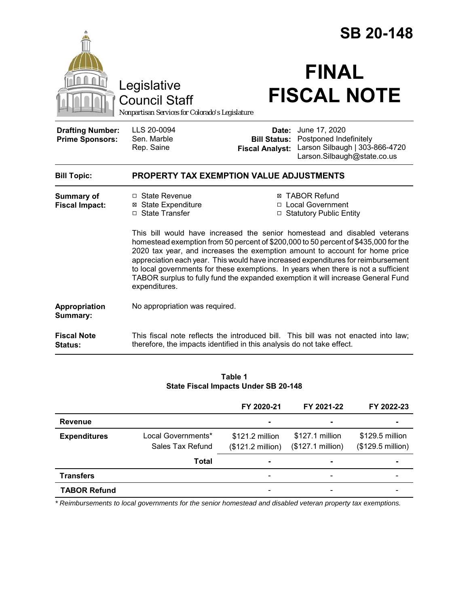|                                                                                        |                                                                                                                                                                                                                                                                                                                                                                                                                                                                                                                                                                                                                                                                | <b>SB 20-148</b>                   |                                                                                                                                    |  |
|----------------------------------------------------------------------------------------|----------------------------------------------------------------------------------------------------------------------------------------------------------------------------------------------------------------------------------------------------------------------------------------------------------------------------------------------------------------------------------------------------------------------------------------------------------------------------------------------------------------------------------------------------------------------------------------------------------------------------------------------------------------|------------------------------------|------------------------------------------------------------------------------------------------------------------------------------|--|
| Legislative<br><b>Council Staff</b><br>Nonpartisan Services for Colorado's Legislature |                                                                                                                                                                                                                                                                                                                                                                                                                                                                                                                                                                                                                                                                | <b>FINAL</b><br><b>FISCAL NOTE</b> |                                                                                                                                    |  |
| <b>Drafting Number:</b><br><b>Prime Sponsors:</b>                                      | LLS 20-0094<br>Sen. Marble<br>Rep. Saine                                                                                                                                                                                                                                                                                                                                                                                                                                                                                                                                                                                                                       | <b>Fiscal Analyst:</b>             | Date: June 17, 2020<br><b>Bill Status: Postponed Indefinitely</b><br>Larson Silbaugh   303-866-4720<br>Larson.Silbaugh@state.co.us |  |
| <b>Bill Topic:</b>                                                                     | <b>PROPERTY TAX EXEMPTION VALUE ADJUSTMENTS</b>                                                                                                                                                                                                                                                                                                                                                                                                                                                                                                                                                                                                                |                                    |                                                                                                                                    |  |
| Summary of<br><b>Fiscal Impact:</b>                                                    | □ State Revenue<br><b>⊠ TABOR Refund</b><br>□ Local Government<br><b>⊠ State Expenditure</b><br>□ State Transfer<br>□ Statutory Public Entity<br>This bill would have increased the senior homestead and disabled veterans<br>homestead exemption from 50 percent of \$200,000 to 50 percent of \$435,000 for the<br>2020 tax year, and increases the exemption amount to account for home price<br>appreciation each year. This would have increased expenditures for reimbursement<br>to local governments for these exemptions. In years when there is not a sufficient<br>TABOR surplus to fully fund the expanded exemption it will increase General Fund |                                    |                                                                                                                                    |  |
| Appropriation<br>Summary:                                                              | expenditures.<br>No appropriation was required.                                                                                                                                                                                                                                                                                                                                                                                                                                                                                                                                                                                                                |                                    |                                                                                                                                    |  |
| <b>Fiscal Note</b><br>Status:                                                          | therefore, the impacts identified in this analysis do not take effect.                                                                                                                                                                                                                                                                                                                                                                                                                                                                                                                                                                                         |                                    | This fiscal note reflects the introduced bill. This bill was not enacted into law;                                                 |  |

| Table 1                                     |  |  |  |  |  |
|---------------------------------------------|--|--|--|--|--|
| <b>State Fiscal Impacts Under SB 20-148</b> |  |  |  |  |  |

|                     |                                        | FY 2020-21                           | FY 2021-22                           | FY 2022-23                           |
|---------------------|----------------------------------------|--------------------------------------|--------------------------------------|--------------------------------------|
| <b>Revenue</b>      |                                        |                                      |                                      |                                      |
| <b>Expenditures</b> | Local Governments*<br>Sales Tax Refund | \$121.2 million<br>(\$121.2 million) | \$127.1 million<br>(\$127.1 million) | \$129.5 million<br>(\$129.5 million) |
|                     | <b>Total</b>                           |                                      |                                      |                                      |
| <b>Transfers</b>    |                                        |                                      |                                      |                                      |
| <b>TABOR Refund</b> |                                        |                                      |                                      |                                      |

*\* Reimbursements to local governments for the senior homestead and disabled veteran property tax exemptions.*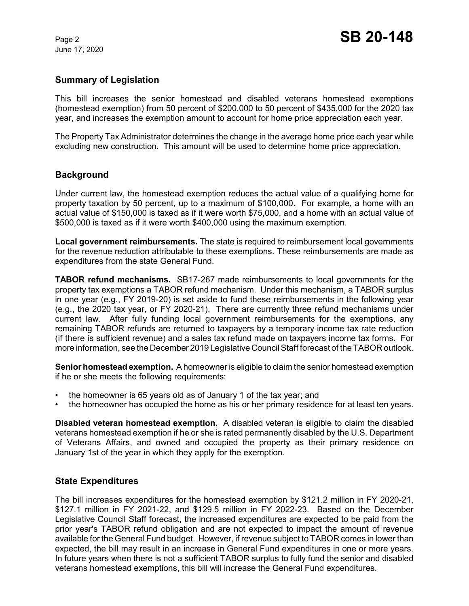June 17, 2020

### **Summary of Legislation**

This bill increases the senior homestead and disabled veterans homestead exemptions (homestead exemption) from 50 percent of \$200,000 to 50 percent of \$435,000 for the 2020 tax year, and increases the exemption amount to account for home price appreciation each year.

The Property Tax Administrator determines the change in the average home price each year while excluding new construction. This amount will be used to determine home price appreciation.

### **Background**

Under current law, the homestead exemption reduces the actual value of a qualifying home for property taxation by 50 percent, up to a maximum of \$100,000. For example, a home with an actual value of \$150,000 is taxed as if it were worth \$75,000, and a home with an actual value of \$500,000 is taxed as if it were worth \$400,000 using the maximum exemption.

**Local government reimbursements.** The state is required to reimbursement local governments for the revenue reduction attributable to these exemptions. These reimbursements are made as expenditures from the state General Fund.

**TABOR refund mechanisms.** SB17-267 made reimbursements to local governments for the property tax exemptions a TABOR refund mechanism. Under this mechanism, a TABOR surplus in one year (e.g., FY 2019-20) is set aside to fund these reimbursements in the following year (e.g., the 2020 tax year, or FY 2020-21). There are currently three refund mechanisms under current law. After fully funding local government reimbursements for the exemptions, any remaining TABOR refunds are returned to taxpayers by a temporary income tax rate reduction (if there is sufficient revenue) and a sales tax refund made on taxpayers income tax forms. For more information, see the December 2019 Legislative Council Staff forecast of the TABOR outlook.

**Senior homestead exemption.** A homeowner is eligible to claim the senior homestead exemption if he or she meets the following requirements:

- the homeowner is 65 years old as of January 1 of the tax year; and
- the homeowner has occupied the home as his or her primary residence for at least ten years.

**Disabled veteran homestead exemption.** A disabled veteran is eligible to claim the disabled veterans homestead exemption if he or she is rated permanently disabled by the U.S. Department of Veterans Affairs, and owned and occupied the property as their primary residence on January 1st of the year in which they apply for the exemption.

### **State Expenditures**

The bill increases expenditures for the homestead exemption by \$121.2 million in FY 2020-21, \$127.1 million in FY 2021-22, and \$129.5 million in FY 2022-23. Based on the December Legislative Council Staff forecast, the increased expenditures are expected to be paid from the prior year's TABOR refund obligation and are not expected to impact the amount of revenue available for the General Fund budget. However, if revenue subject to TABOR comes in lower than expected, the bill may result in an increase in General Fund expenditures in one or more years. In future years when there is not a sufficient TABOR surplus to fully fund the senior and disabled veterans homestead exemptions, this bill will increase the General Fund expenditures.